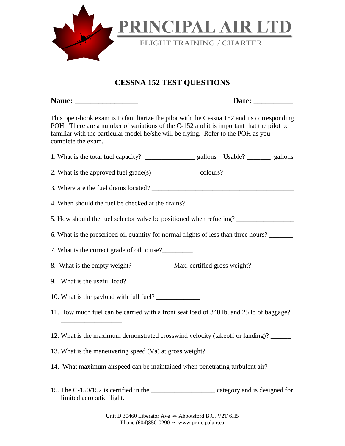

## **CESSNA 152 TEST QUESTIONS**

|                                                                                                                                                                                                                                                                                                                                                                                                           | Date:                                                                                                                                                                                 |
|-----------------------------------------------------------------------------------------------------------------------------------------------------------------------------------------------------------------------------------------------------------------------------------------------------------------------------------------------------------------------------------------------------------|---------------------------------------------------------------------------------------------------------------------------------------------------------------------------------------|
| familiar with the particular model he/she will be flying. Refer to the POH as you<br>complete the exam.                                                                                                                                                                                                                                                                                                   | This open-book exam is to familiarize the pilot with the Cessna 152 and its corresponding<br>POH. There are a number of variations of the C-152 and it is important that the pilot be |
|                                                                                                                                                                                                                                                                                                                                                                                                           |                                                                                                                                                                                       |
| 2. What is the approved fuel grade(s) $\_\_\_\_\_\_$ colours? $\_\_\_\_\_\_\_\_\_\_\_$                                                                                                                                                                                                                                                                                                                    |                                                                                                                                                                                       |
|                                                                                                                                                                                                                                                                                                                                                                                                           |                                                                                                                                                                                       |
|                                                                                                                                                                                                                                                                                                                                                                                                           | 4. When should the fuel be checked at the drains? _______________________________                                                                                                     |
|                                                                                                                                                                                                                                                                                                                                                                                                           | 5. How should the fuel selector valve be positioned when refueling?                                                                                                                   |
|                                                                                                                                                                                                                                                                                                                                                                                                           | 6. What is the prescribed oil quantity for normal flights of less than three hours?                                                                                                   |
| 7. What is the correct grade of oil to use?                                                                                                                                                                                                                                                                                                                                                               |                                                                                                                                                                                       |
|                                                                                                                                                                                                                                                                                                                                                                                                           | 8. What is the empty weight? ______________ Max. certified gross weight? ________                                                                                                     |
| 9. What is the useful load? $\frac{1}{\sqrt{1-\frac{1}{\sqrt{1-\frac{1}{\sqrt{1-\frac{1}{\sqrt{1-\frac{1}{\sqrt{1-\frac{1}{\sqrt{1-\frac{1}{\sqrt{1-\frac{1}{\sqrt{1-\frac{1}{\sqrt{1-\frac{1}{\sqrt{1-\frac{1}{\sqrt{1-\frac{1}{\sqrt{1-\frac{1}{\sqrt{1-\frac{1}{\sqrt{1-\frac{1}{\sqrt{1-\frac{1}{\sqrt{1-\frac{1}{\sqrt{1-\frac{1}{\sqrt{1-\frac{1}{\sqrt{1-\frac{1}{\sqrt{1-\frac{1}{\sqrt{1-\frac{$ |                                                                                                                                                                                       |
| 10. What is the payload with full fuel?                                                                                                                                                                                                                                                                                                                                                                   |                                                                                                                                                                                       |
|                                                                                                                                                                                                                                                                                                                                                                                                           | 11. How much fuel can be carried with a front seat load of 340 lb, and 25 lb of baggage?                                                                                              |
|                                                                                                                                                                                                                                                                                                                                                                                                           | 12. What is the maximum demonstrated crosswind velocity (takeoff or landing)? ______                                                                                                  |
| 13. What is the maneuvering speed (Va) at gross weight? ________________________                                                                                                                                                                                                                                                                                                                          |                                                                                                                                                                                       |
| 14. What maximum airspeed can be maintained when penetrating turbulent air?                                                                                                                                                                                                                                                                                                                               |                                                                                                                                                                                       |
| limited aerobatic flight.                                                                                                                                                                                                                                                                                                                                                                                 |                                                                                                                                                                                       |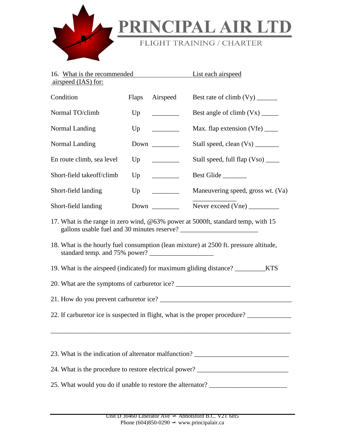

## PRINCIPAL AIR LTD

## FLIGHT TRAINING / CHARTER

| 16. What is the recommended<br>airspeed (IAS) for:                                      |              | List each airspeed                           |                                    |  |
|-----------------------------------------------------------------------------------------|--------------|----------------------------------------------|------------------------------------|--|
| Condition                                                                               | <b>Flaps</b> | Airspeed                                     |                                    |  |
| Normal TO/climb                                                                         | Up           | $\overline{\phantom{a}}$                     |                                    |  |
| Normal Landing                                                                          | Up           | $\overline{\phantom{a}}$                     |                                    |  |
| Normal Landing                                                                          |              |                                              | Stall speed, clean (Vs) ________   |  |
| En route climb, sea level                                                               | Up           | <u> Louis Communica</u>                      | Stall speed, full flap (Vso) _____ |  |
| Short-field takeoff/climb                                                               | Up           | <u> 1989 - Andrea Stein, ameri</u> kansk kon | Best Glide                         |  |
| Short-field landing                                                                     |              | Up                                           | Maneuvering speed, gross wt. (Va)  |  |
| Short-field landing                                                                     |              | Down                                         | Never exceed (Vne)                 |  |
| 17. What is the range in zero wind, @63% power at 5000ft, standard temp, with 15        |              |                                              |                                    |  |
| 18. What is the hourly fuel consumption (lean mixture) at 2500 ft. pressure altitude,   |              |                                              |                                    |  |
| 19. What is the airspeed (indicated) for maximum gliding distance? ___________KTS       |              |                                              |                                    |  |
|                                                                                         |              |                                              |                                    |  |
|                                                                                         |              |                                              |                                    |  |
| 22. If carburetor ice is suspected in flight, what is the proper procedure? ___________ |              |                                              |                                    |  |
|                                                                                         |              |                                              |                                    |  |
| 23. What is the indication of alternator malfunction? __________________________        |              |                                              |                                    |  |
| 24. What is the procedure to restore electrical power? _________________________        |              |                                              |                                    |  |
| 25. What would you do if unable to restore the alternator? _____________________        |              |                                              |                                    |  |